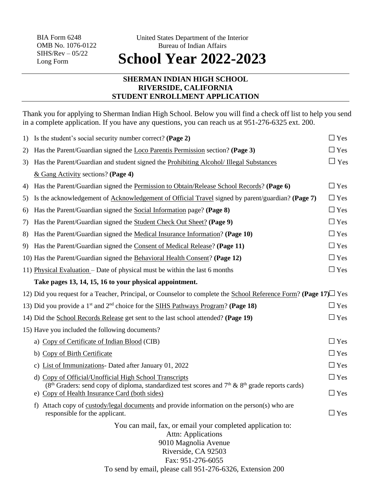## **SHERMAN INDIAN HIGH SCHOOL RIVERSIDE, CALIFORNIA STUDENT ENROLLMENT APPLICATION**

Thank you for applying to Sherman Indian High School. Below you will find a check off list to help you send in a complete application. If you have any questions, you can reach us at 951-276-6325 ext. 200.

|    | 1) Is the student's social security number correct? (Page 2)                                                                                            | $\Box$ Yes    |
|----|---------------------------------------------------------------------------------------------------------------------------------------------------------|---------------|
| 2) | Has the Parent/Guardian signed the Loco Parentis Permission section? (Page 3)                                                                           | $\Box$ Yes    |
| 3) | Has the Parent/Guardian and student signed the Prohibiting Alcohol/ Illegal Substances                                                                  | $\Box$ Yes    |
|    | $&$ Gang Activity sections? (Page 4)                                                                                                                    |               |
| 4) | Has the Parent/Guardian signed the Permission to Obtain/Release School Records? (Page 6)                                                                | $\Box$ Yes    |
| 5) | Is the acknowledgement of Acknowledgement of Official Travel signed by parent/guardian? (Page 7)                                                        | $\Box$ Yes    |
| 6) | Has the Parent/Guardian signed the Social Information page? (Page 8)                                                                                    | $\Box$ Yes    |
| 7) | Has the Parent/Guardian signed the Student Check Out Sheet? (Page 9)                                                                                    | $\Box$ Yes    |
| 8) | Has the Parent/Guardian signed the Medical Insurance Information? (Page 10)                                                                             | $\Box$ Yes    |
|    | 9) Has the Parent/Guardian signed the Consent of Medical Release? (Page 11)                                                                             | $\Box$ Yes    |
|    | 10) Has the Parent/Guardian signed the Behavioral Health Consent? (Page 12)                                                                             | $\Box$ Yes    |
|    | 11) Physical Evaluation – Date of physical must be within the last 6 months                                                                             | $\Box$ Yes    |
|    | Take pages 13, 14, 15, 16 to your physical appointment.                                                                                                 |               |
|    | 12) Did you request for a Teacher, Principal, or Counselor to complete the School Reference Form? (Page 17) $\Box$ Yes                                  |               |
|    | 13) Did you provide a 1 <sup>st</sup> and $2nd$ choice for the SIHS Pathways Program? (Page 18)                                                         | $\Box$ Yes    |
|    | 14) Did the School Records Release get sent to the last school attended? (Page 19)                                                                      | $\square$ Yes |
|    | 15) Have you included the following documents?                                                                                                          |               |
|    | a) Copy of Certificate of Indian Blood (CIB)                                                                                                            | $\Box$ Yes    |
|    | b) Copy of Birth Certificate                                                                                                                            | $\Box$ Yes    |
|    | c) List of Immunizations- Dated after January 01, 2022                                                                                                  | $\Box$ Yes    |
|    | d) Copy of Official/Unofficial High School Transcripts                                                                                                  | $\Box$ Yes    |
|    | ( $8th$ Graders: send copy of diploma, standardized test scores and $7th$ & $8th$ grade reports cards)<br>e) Copy of Health Insurance Card (both sides) | $\square$ Yes |
|    | Attach copy of custody/legal documents and provide information on the person(s) who are<br>$\ddagger$<br>responsible for the applicant.                 | $\square$ Yes |
|    | You can mail, fax, or email your completed application to:<br><b>Attn: Applications</b><br>9010 Magnolia Avenue                                         |               |
|    | Riverside, CA 92503                                                                                                                                     |               |
|    | Fax: 951-276-6055                                                                                                                                       |               |
|    | To send by email, please call 951-276-6326, Extension 200                                                                                               |               |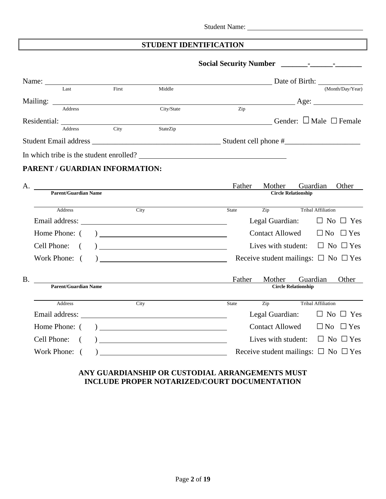# **STUDENT IDENTIFICATION**

|           |                                |       |                                                                                                                   | Date of Birth: |        |                                                |                            |          |                                   |
|-----------|--------------------------------|-------|-------------------------------------------------------------------------------------------------------------------|----------------|--------|------------------------------------------------|----------------------------|----------|-----------------------------------|
|           | Last                           | First | Middle                                                                                                            |                |        |                                                |                            |          | (Month/Day/Year)                  |
|           |                                |       |                                                                                                                   |                |        |                                                |                            |          | $\text{Age:}$                     |
|           | <b>Address</b>                 |       | City/State                                                                                                        |                | Zip    |                                                |                            |          |                                   |
|           |                                |       | Residential:<br>Address City StateZip                                                                             |                |        |                                                |                            |          | Gender: $\Box$ Male $\Box$ Female |
|           |                                |       |                                                                                                                   |                |        |                                                |                            |          |                                   |
|           |                                |       |                                                                                                                   |                |        |                                                |                            |          |                                   |
|           |                                |       | In which tribe is the student enrolled?                                                                           |                |        |                                                |                            |          |                                   |
|           | PARENT / GUARDIAN INFORMATION: |       |                                                                                                                   |                |        |                                                |                            |          |                                   |
|           |                                |       | Parent/Guardian Name                                                                                              |                | Father | Mother                                         |                            | Guardian | Other                             |
|           |                                |       |                                                                                                                   |                |        |                                                | <b>Circle Relationship</b> |          |                                   |
|           | Address                        |       | City                                                                                                              | State          |        | Zip                                            | Tribal Affiliation         |          |                                   |
|           |                                |       |                                                                                                                   |                |        | Legal Guardian:                                |                            |          | $\Box$ No $\Box$ Yes              |
|           | Home Phone: (                  |       |                                                                                                                   |                |        | <b>Contact Allowed</b>                         |                            |          | $\Box$ No $\Box$ Yes              |
|           | Cell Phone:<br>$\sqrt{2}$      |       |                                                                                                                   |                |        | Lives with student: $\Box$ No $\Box$ Yes       |                            |          |                                   |
|           |                                |       |                                                                                                                   |                |        |                                                |                            |          |                                   |
|           | Work Phone: (                  |       |                                                                                                                   |                |        | Receive student mailings: $\Box$ No $\Box$ Yes |                            |          |                                   |
| <b>B.</b> |                                |       | <u> 1980 - Jan Samuel Barbara, martin din samud al-</u>                                                           |                | Father | Mother                                         |                            | Guardian | Other                             |
|           | <b>Parent/Guardian Name</b>    |       |                                                                                                                   |                |        |                                                | <b>Circle Relationship</b> |          |                                   |
|           |                                |       |                                                                                                                   |                |        |                                                |                            |          |                                   |
|           | Address                        |       | City                                                                                                              | State          |        | Zip Tribal Affiliation                         |                            |          |                                   |
|           |                                |       |                                                                                                                   |                |        | Legal Guardian:                                |                            |          | $\Box$ No $\Box$ Yes              |
|           | Home Phone: (                  |       | $\begin{tabular}{ c c c c } \hline \quad \quad & \quad \quad & \quad \quad & \quad \quad \\ \hline \end{tabular}$ |                |        | <b>Contact Allowed</b>                         |                            |          | $\Box$ No $\Box$ Yes              |
|           | Cell Phone:                    |       |                                                                                                                   |                |        | Lives with student: $\Box$ No $\Box$ Yes       |                            |          |                                   |
|           | Work Phone: (                  |       |                                                                                                                   |                |        | Receive student mailings: $\Box$ No $\Box$ Yes |                            |          |                                   |

# **ANY GUARDIANSHIP OR CUSTODIAL ARRANGEMENTS MUST INCLUDE PROPER NOTARIZED/COURT DOCUMENTATION**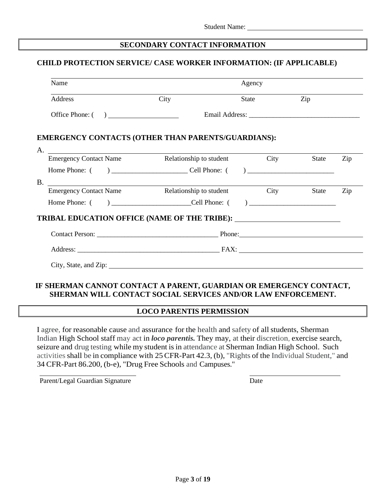## **SECONDARY CONTACT INFORMATION**

## **CHILD PROTECTION SERVICE/ CASE WORKER INFORMATION: (IF APPLICABLE)**

| City                                                         |  | Zip                                                                          |                                                                                                                                                                                                                                                                                                                                                               |
|--------------------------------------------------------------|--|------------------------------------------------------------------------------|---------------------------------------------------------------------------------------------------------------------------------------------------------------------------------------------------------------------------------------------------------------------------------------------------------------------------------------------------------------|
| Office Phone: $\begin{pmatrix} 1 & 1 \\ 1 & 1 \end{pmatrix}$ |  |                                                                              |                                                                                                                                                                                                                                                                                                                                                               |
|                                                              |  |                                                                              |                                                                                                                                                                                                                                                                                                                                                               |
|                                                              |  |                                                                              | Zip                                                                                                                                                                                                                                                                                                                                                           |
|                                                              |  |                                                                              |                                                                                                                                                                                                                                                                                                                                                               |
|                                                              |  |                                                                              |                                                                                                                                                                                                                                                                                                                                                               |
|                                                              |  |                                                                              | Zip                                                                                                                                                                                                                                                                                                                                                           |
|                                                              |  |                                                                              |                                                                                                                                                                                                                                                                                                                                                               |
|                                                              |  |                                                                              |                                                                                                                                                                                                                                                                                                                                                               |
|                                                              |  |                                                                              |                                                                                                                                                                                                                                                                                                                                                               |
|                                                              |  |                                                                              |                                                                                                                                                                                                                                                                                                                                                               |
|                                                              |  | Agency<br>State<br><b>EMERGENCY CONTACTS (OTHER THAN PARENTS/GUARDIANS):</b> | Email Address: Universe of the Address of the Address of the Address of the Address of the Address of the Address of the Address of the Address of the Address of the Address of the Address of the Address of the Address of<br>Emergency Contact Name Relationship to student City<br>State<br>Emergency Contact Name Relationship to student City<br>State |

## **IF SHERMAN CANNOT CONTACT A PARENT, GUARDIAN OR EMERGENCY CONTACT, SHERMAN WILL CONTACT SOCIAL SERVICES AND/OR LAW ENFORCEMENT.**

#### **LOCO PARENTIS PERMISSION**

I agree, for reasonable cause and assurance for the health and safety of all students, Sherman Indian High School staff may act in *loco parentis.* They may, at their discretion, exercise search, seizure and drug testing while my student is in attendance at Sherman Indian High School. Such activities shall be in compliance with 25 CFR-Part 42.3, (b), "Rights of the Individual Student," and 34 CFR-Part 86.200, (b-e), "Drug Free Schools and Campuses."

Parent/Legal Guardian Signature Date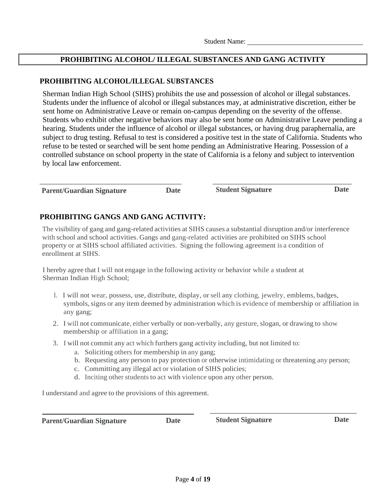## **PROHIBITING ALCOHOL/ ILLEGAL SUBSTANCES AND GANG ACTIVITY**

#### **PROHIBITING ALCOHOL/ILLEGAL SUBSTANCES**

Sherman Indian High School (SIHS) prohibits the use and possession of alcohol or illegal substances. Students under the influence of alcohol or illegal substances may, at administrative discretion, either be sent home on Administrative Leave or remain on-campus depending on the severity of the offense. Students who exhibit other negative behaviors may also be sent home on Administrative Leave pending a hearing. Students under the influence of alcohol or illegal substances, or having drug paraphernalia, are subject to drug testing. Refusal to test is considered a positive test in the state of California. Students who refuse to be tested or searched will be sent home pending an Administrative Hearing. Possession of a controlled substance on school property in the state of California is a felony and subject to intervention by local law enforcement.

| <b>Parent/Guardian Signature</b> | Date | <b>Student Signature</b> | Date |
|----------------------------------|------|--------------------------|------|
|                                  |      |                          |      |

# **PROHIBITING GANGS AND GANG ACTIVITY:**

The visibility of gang and gang-related activities at SIHS causes a substantial disruption and/or interference with school and school activities. Gangs and gang-related activities are prohibited on SIHS school property or at SIHS school affiliated activities. Signing the following agreement is a condition of enrollment at SIHS.

I hereby agree that I will not engage in the following activity or behavior while a student at Sherman Indian High School;

- l. I will not wear, possess, use, distribute, display, or sell any clothing, jewelry, emblems, badges, symbols, signs or any item deemed by administration which is evidence of membership or affiliation in any gang;
- 2. I will not communicate, either verbally or non-verbally, any gesture, slogan, or drawing to show membership or affiliation in a gang;
- 3. I will not commit any act which furthers gang activity including, but not limited to:
	- a. Soliciting others for membership in any gang;
	- b. Requesting any person to pay protection or otherwise intimidating or threatening any person;
	- c. Committing any illegal act or violation of SIHS policies;
	- d. Inciting other students to act with violence upon any other person.

I understand and agree to the provisions of this agreement.

**Parent/Guardian Signature Date Student Signature Date**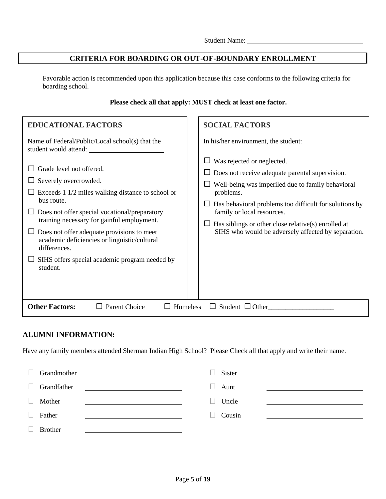## **CRITERIA FOR BOARDING OR OUT-OF-BOUNDARY ENROLLMENT**

Favorable action is recommended upon this application because this case conforms to the following criteria for boarding school.

## **Please check all that apply: MUST check at least one factor.**

| <b>EDUCATIONAL FACTORS</b>                                                                                                                                                                                                                                                                                                                                                                                                                                                  | <b>SOCIAL FACTORS</b>                                                                                                                                                                                                                                                                                                                                                                         |
|-----------------------------------------------------------------------------------------------------------------------------------------------------------------------------------------------------------------------------------------------------------------------------------------------------------------------------------------------------------------------------------------------------------------------------------------------------------------------------|-----------------------------------------------------------------------------------------------------------------------------------------------------------------------------------------------------------------------------------------------------------------------------------------------------------------------------------------------------------------------------------------------|
| Name of Federal/Public/Local school(s) that the<br>student would attend:<br>Grade level not offered.<br>Severely overcrowded.<br>Exceeds 1 1/2 miles walking distance to school or<br>bus route.<br>Does not offer special vocational/preparatory<br>training necessary for gainful employment.<br>Does not offer adequate provisions to meet<br>academic deficiencies or linguistic/cultural<br>differences.<br>SIHS offers special academic program needed by<br>student. | In his/her environment, the student:<br>Was rejected or neglected.<br>Does not receive adequate parental supervision.<br>Well-being was imperiled due to family behavioral<br>problems.<br>Has behavioral problems too difficult for solutions by<br>family or local resources.<br>Has siblings or other close relative(s) enrolled at<br>SIHS who would be adversely affected by separation. |
| <b>Other Factors:</b><br><b>Parent Choice</b><br>Homeless                                                                                                                                                                                                                                                                                                                                                                                                                   | Student $\Box$ Other                                                                                                                                                                                                                                                                                                                                                                          |

### **ALUMNI INFORMATION:**

Have any family members attended Sherman Indian High School? Please Check all that apply and write their name.

|        | Grandmother<br><u>and the state of the state of the state of the state of the state of the state of the state of the state of th</u> | Sister |  |
|--------|--------------------------------------------------------------------------------------------------------------------------------------|--------|--|
| $\Box$ | Grandfather                                                                                                                          | Aunt   |  |
|        | Mother                                                                                                                               | Uncle  |  |
|        | Father                                                                                                                               | Cousin |  |
|        | <b>Brother</b>                                                                                                                       |        |  |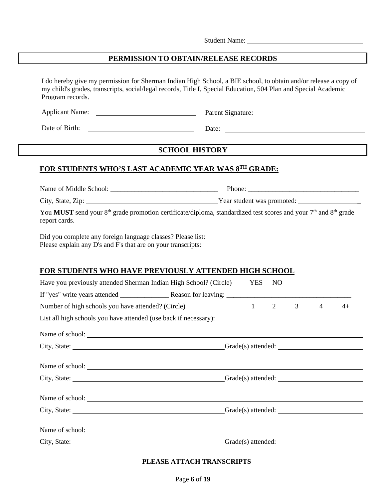# **PERMISSION TO OBTAIN/RELEASE RECORDS**

| I do hereby give my permission for Sherman Indian High School, a BIE school, to obtain and/or release a copy of<br>my child's grades, transcripts, social/legal records, Title I, Special Education, 504 Plan and Special Academic<br>Program records. |                                                                                                                                                     |              |                |                |                |                                                                                         |  |
|--------------------------------------------------------------------------------------------------------------------------------------------------------------------------------------------------------------------------------------------------------|-----------------------------------------------------------------------------------------------------------------------------------------------------|--------------|----------------|----------------|----------------|-----------------------------------------------------------------------------------------|--|
|                                                                                                                                                                                                                                                        |                                                                                                                                                     |              |                |                |                |                                                                                         |  |
| Date of Birth:<br><u> 1980 - Andrea Barbara, amerikan personal (h. 1980).</u>                                                                                                                                                                          |                                                                                                                                                     |              |                |                |                |                                                                                         |  |
|                                                                                                                                                                                                                                                        | <b>SCHOOL HISTORY</b>                                                                                                                               |              |                |                |                |                                                                                         |  |
| FOR STUDENTS WHO'S LAST ACADEMIC YEAR WAS 8TH GRADE:                                                                                                                                                                                                   |                                                                                                                                                     |              |                |                |                |                                                                                         |  |
|                                                                                                                                                                                                                                                        |                                                                                                                                                     |              |                |                |                |                                                                                         |  |
|                                                                                                                                                                                                                                                        |                                                                                                                                                     |              |                |                |                |                                                                                         |  |
| report cards.                                                                                                                                                                                                                                          | You MUST send your 8 <sup>th</sup> grade promotion certificate/diploma, standardized test scores and your 7 <sup>th</sup> and 8 <sup>th</sup> grade |              |                |                |                |                                                                                         |  |
|                                                                                                                                                                                                                                                        |                                                                                                                                                     |              |                |                |                |                                                                                         |  |
|                                                                                                                                                                                                                                                        |                                                                                                                                                     |              |                |                |                |                                                                                         |  |
| <b>FOR STUDENTS WHO HAVE PREVIOUSLY ATTENDED HIGH SCHOOL</b>                                                                                                                                                                                           |                                                                                                                                                     |              |                |                |                |                                                                                         |  |
| Have you previously attended Sherman Indian High School? (Circle)                                                                                                                                                                                      |                                                                                                                                                     | <b>YES</b>   | NO             |                |                |                                                                                         |  |
|                                                                                                                                                                                                                                                        |                                                                                                                                                     |              |                |                |                |                                                                                         |  |
| Number of high schools you have attended? (Circle)                                                                                                                                                                                                     |                                                                                                                                                     | $\mathbf{1}$ | $\overline{2}$ | $\mathfrak{Z}$ | $\overline{4}$ | $4+$                                                                                    |  |
| List all high schools you have attended (use back if necessary):                                                                                                                                                                                       |                                                                                                                                                     |              |                |                |                |                                                                                         |  |
|                                                                                                                                                                                                                                                        |                                                                                                                                                     |              |                |                |                |                                                                                         |  |
|                                                                                                                                                                                                                                                        |                                                                                                                                                     |              |                |                |                | $Grade(s)$ attended: $\_\_\_\_\_\_\_\_\_\_\_\_\_\_\_\_\_\_\_\_\_\_\_\_\_\_\_\_\_\_\_\_$ |  |
|                                                                                                                                                                                                                                                        |                                                                                                                                                     |              |                |                |                |                                                                                         |  |
|                                                                                                                                                                                                                                                        |                                                                                                                                                     |              |                |                |                |                                                                                         |  |
|                                                                                                                                                                                                                                                        |                                                                                                                                                     |              |                |                |                |                                                                                         |  |
|                                                                                                                                                                                                                                                        |                                                                                                                                                     |              |                |                |                |                                                                                         |  |
|                                                                                                                                                                                                                                                        |                                                                                                                                                     |              |                |                |                |                                                                                         |  |

# **PLEASE ATTACH TRANSCRIPTS**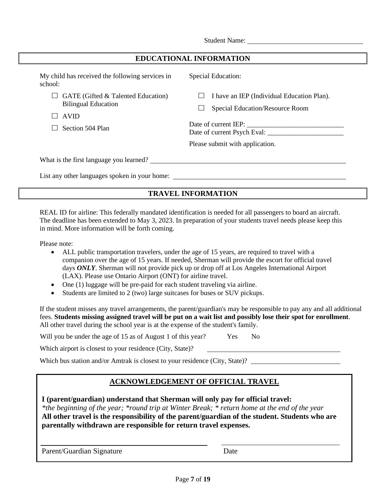| My child has received the following services in |  |
|-------------------------------------------------|--|
| school:                                         |  |

 $\Box$  GATE (Gifted & Talented Education) Bilingual Education

□ AVID

 $\Box$  Section 504 Plan

Special Education:

 $\Box$  I have an IEP (Individual Education Plan).

□ Special Education/Resource Room

Date of current IEP: Date of current Psych Eval: \_\_\_\_\_\_\_\_\_\_\_\_\_\_\_\_\_\_\_\_\_\_

Please submit with application.

What is the first language you learned?

List any other languages spoken in your home:

# **TRAVEL INFORMATION**

REAL ID for airline: This federally mandated identification is needed for all passengers to board an aircraft. The deadline has been extended to May 3, 2023. In preparation of your students travel needs please keep this in mind. More information will be forth coming.

Please note:

- ALL public transportation travelers, under the age of 15 years, are required to travel with a companion over the age of 15 years. If needed, Sherman will provide the escort for official travel days *ONLY*. Sherman will not provide pick up or drop off at Los Angeles International Airport (LAX). Please use Ontario Airport (ONT) for airline travel.
- One (1) luggage will be pre-paid for each student traveling via airline.
- Students are limited to 2 (two) large suitcases for buses or SUV pickups.

If the student misses any travel arrangements, the parent/guardian's may be responsible to pay any and all additional fees. **Students missing assigned travel will be put on a wait list and possibly lose their spot for enrollment**. All other travel during the school year is at the expense of the student's family.

Will you be under the age of 15 as of August 1 of this year? Yes No

Which airport is closest to your residence (City, State)?

Which bus station and/or Amtrak is closest to your residence (City, State)?

## **ACKNOWLEDGEMENT OF OFFICIAL TRAVEL**

**I (parent/guardian) understand that Sherman will only pay for official travel:**

*\*the beginning of the year; \*round trip at Winter Break; \* return home at the end of the year* **All other travel is the responsibility of the parent/guardian of the student. Students who are parentally withdrawn are responsible for return travel expenses.**

Parent/Guardian Signature Date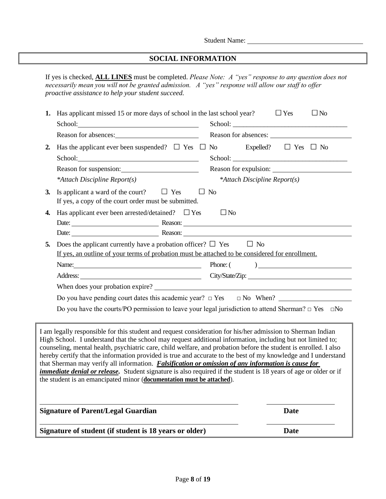# **SOCIAL INFORMATION**

If yes is checked, **ALL LINES** must be completed. *Please Note: A "yes" response to any question does not necessarily mean you will not be granted admission. A "yes" response will allow our staff to offer proactive assistance to help your student succeed.*

|    | Signature of student (if student is 18 years or older)                                                                                                                                                                                                                                                                                                                                                                                                                                                                                                                                                                                                                                                                                                                            | <b>Date</b>                  |
|----|-----------------------------------------------------------------------------------------------------------------------------------------------------------------------------------------------------------------------------------------------------------------------------------------------------------------------------------------------------------------------------------------------------------------------------------------------------------------------------------------------------------------------------------------------------------------------------------------------------------------------------------------------------------------------------------------------------------------------------------------------------------------------------------|------------------------------|
|    | <b>Signature of Parent/Legal Guardian</b>                                                                                                                                                                                                                                                                                                                                                                                                                                                                                                                                                                                                                                                                                                                                         | Date                         |
|    | I am legally responsible for this student and request consideration for his/her admission to Sherman Indian<br>High School. I understand that the school may request additional information, including but not limited to;<br>counseling, mental health, psychiatric care, child welfare, and probation before the student is enrolled. I also<br>hereby certify that the information provided is true and accurate to the best of my knowledge and I understand<br>that Sherman may verify all information. <i>Falsification or omission of any information is cause for</i><br><i>immediate denial or release.</i> Student signature is also required if the student is 18 years of age or older or if<br>the student is an emancipated minor (documentation must be attached). |                              |
|    | Do you have the courts/PO permission to leave your legal jurisdiction to attend Sherman? $\Box$ Yes $\Box$ No                                                                                                                                                                                                                                                                                                                                                                                                                                                                                                                                                                                                                                                                     |                              |
|    | When does your probation expire?<br>Do you have pending court dates this academic year? $\Box$ Yes $\Box$ No When?                                                                                                                                                                                                                                                                                                                                                                                                                                                                                                                                                                                                                                                                |                              |
|    |                                                                                                                                                                                                                                                                                                                                                                                                                                                                                                                                                                                                                                                                                                                                                                                   | City/State/Zip:              |
|    | If yes, an outline of your terms of probation must be attached to be considered for enrollment.<br>Name:                                                                                                                                                                                                                                                                                                                                                                                                                                                                                                                                                                                                                                                                          | Phone: ( )                   |
| 5. | Does the applicant currently have a probation officer? $\Box$ Yes $\Box$ No                                                                                                                                                                                                                                                                                                                                                                                                                                                                                                                                                                                                                                                                                                       |                              |
|    | Date: <u>Neason:</u> Reason:<br>Date: Reason: Reason:                                                                                                                                                                                                                                                                                                                                                                                                                                                                                                                                                                                                                                                                                                                             |                              |
| 4. | Has applicant ever been arrested/detained? $\square$ Yes                                                                                                                                                                                                                                                                                                                                                                                                                                                                                                                                                                                                                                                                                                                          | $\square$ No                 |
| 3. | Is applicant a ward of the court? $\Box$ Yes $\Box$ No<br>If yes, a copy of the court order must be submitted.                                                                                                                                                                                                                                                                                                                                                                                                                                                                                                                                                                                                                                                                    |                              |
|    | *Attach Discipline Report(s)                                                                                                                                                                                                                                                                                                                                                                                                                                                                                                                                                                                                                                                                                                                                                      | *Attach Discipline Report(s) |
|    | Reason for suspension:                                                                                                                                                                                                                                                                                                                                                                                                                                                                                                                                                                                                                                                                                                                                                            | School:                      |
| 2. | Has the applicant ever been suspended? $\square$ Yes $\square$ No Expelled? $\square$ Yes $\square$ No                                                                                                                                                                                                                                                                                                                                                                                                                                                                                                                                                                                                                                                                            |                              |
|    | Reason for absences:                                                                                                                                                                                                                                                                                                                                                                                                                                                                                                                                                                                                                                                                                                                                                              | Reason for absences:         |
|    | School: 2000 Changes and 2000 Changes and 2000 Changes and 2000 Changes and 2000 Changes and 2000 Changes and 2000 Changes and 2000 Changes and 2000 Changes and 2000 Changes and 2000 Changes and 2000 Changes and 2000 Chang                                                                                                                                                                                                                                                                                                                                                                                                                                                                                                                                                    |                              |
|    | 1. Has applicant missed 15 or more days of school in the last school year?                                                                                                                                                                                                                                                                                                                                                                                                                                                                                                                                                                                                                                                                                                        | $\Box$ Yes<br>$\Box$ No      |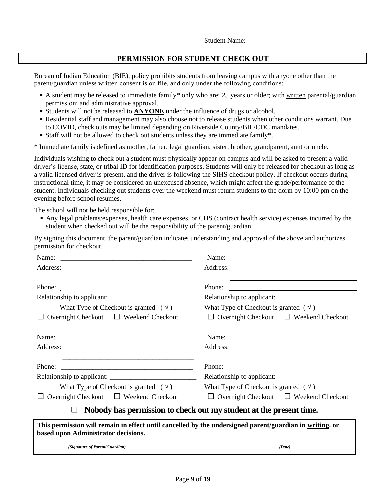#### **PERMISSION FOR STUDENT CHECK OUT**

Bureau of Indian Education (BIE), policy prohibits students from leaving campus with anyone other than the parent/guardian unless written consent is on file, and only under the following conditions:

- A student may be released to immediate family\* only who are: 25 years or older; with written parental/guardian permission; and administrative approval.
- Students will not be released to **ANYONE** under the influence of drugs or alcohol.
- Residential staff and management may also choose not to release students when other conditions warrant. Due to COVID, check outs may be limited depending on Riverside County/BIE/CDC mandates.
- Staff will not be allowed to check out students unless they are immediate family<sup>\*</sup>.

\* Immediate family is defined as mother, father, legal guardian, sister, brother, grandparent, aunt or uncle.

Individuals wishing to check out a student must physically appear on campus and will be asked to present a valid driver's license, state, or tribal ID for identification purposes. Students will only be released for checkout as long as a valid licensed driver is present, and the driver is following the SIHS checkout policy. If checkout occurs during instructional time, it may be considered an unexcused absence, which might affect the grade/performance of the student. Individuals checking out students over the weekend must return students to the dorm by 10:00 pm on the evening before school resumes.

The school will not be held responsible for:

▪ Any legal problems/expenses, health care expenses, or CHS (contract health service) expenses incurred by the student when checked out will be the responsibility of the parent/guardian.

By signing this document, the parent/guardian indicates understanding and approval of the above and authorizes permission for checkout.

|                                                                                                                                                                                                                                                                                                                                                                                                              | Phone:                                                             |
|--------------------------------------------------------------------------------------------------------------------------------------------------------------------------------------------------------------------------------------------------------------------------------------------------------------------------------------------------------------------------------------------------------------|--------------------------------------------------------------------|
|                                                                                                                                                                                                                                                                                                                                                                                                              |                                                                    |
| What Type of Checkout is granted $(\sqrt{})$                                                                                                                                                                                                                                                                                                                                                                 | What Type of Checkout is granted $(y)$                             |
| Overnight Checkout $\Box$ Weekend Checkout                                                                                                                                                                                                                                                                                                                                                                   | $\Box$ Overnight Checkout $\Box$ Weekend Checkout                  |
|                                                                                                                                                                                                                                                                                                                                                                                                              |                                                                    |
|                                                                                                                                                                                                                                                                                                                                                                                                              |                                                                    |
|                                                                                                                                                                                                                                                                                                                                                                                                              |                                                                    |
| Phone: $\frac{1}{\sqrt{1-\frac{1}{2}}\sqrt{1-\frac{1}{2}}\sqrt{1-\frac{1}{2}}\sqrt{1-\frac{1}{2}}\sqrt{1-\frac{1}{2}}\sqrt{1-\frac{1}{2}}\sqrt{1-\frac{1}{2}}\sqrt{1-\frac{1}{2}}\sqrt{1-\frac{1}{2}}\sqrt{1-\frac{1}{2}}\sqrt{1-\frac{1}{2}}\sqrt{1-\frac{1}{2}}\sqrt{1-\frac{1}{2}}\sqrt{1-\frac{1}{2}}\sqrt{1-\frac{1}{2}}\sqrt{1-\frac{1}{2}}\sqrt{1-\frac{1}{2}}\sqrt{1-\frac{1}{2}}\sqrt{1-\frac{1}{2$ |                                                                    |
|                                                                                                                                                                                                                                                                                                                                                                                                              | Relationship to applicant:                                         |
| What Type of Checkout is granted $(\sqrt{})$                                                                                                                                                                                                                                                                                                                                                                 | What Type of Checkout is granted $(y)$                             |
| Overnight Checkout $\Box$ Weekend Checkout                                                                                                                                                                                                                                                                                                                                                                   | $\Box$ Overnight Checkout $\Box$ Weekend Checkout                  |
|                                                                                                                                                                                                                                                                                                                                                                                                              | Nobody has permission to check out my student at the present time. |
| This permission will remain in effect until cancelled by the undersigned parent/guardian in writing. or<br>based upon Administrator decisions.                                                                                                                                                                                                                                                               |                                                                    |
| (Signature of Parent/Guardian)                                                                                                                                                                                                                                                                                                                                                                               | (Date)                                                             |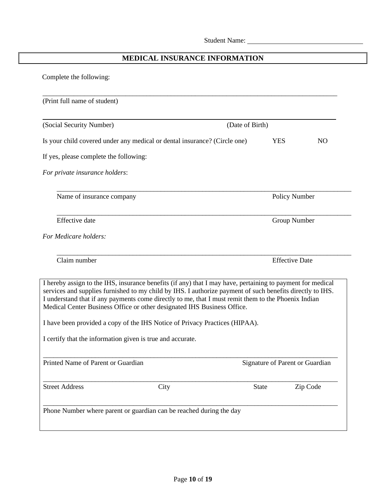# **MEDICAL INSURANCE INFORMATION**

Complete the following:

| (Print full name of student)                                                                                                                                                                                                                                                                                                                                                                                                                                                                                                                           |                 |                                 |
|--------------------------------------------------------------------------------------------------------------------------------------------------------------------------------------------------------------------------------------------------------------------------------------------------------------------------------------------------------------------------------------------------------------------------------------------------------------------------------------------------------------------------------------------------------|-----------------|---------------------------------|
| (Social Security Number)                                                                                                                                                                                                                                                                                                                                                                                                                                                                                                                               | (Date of Birth) |                                 |
| Is your child covered under any medical or dental insurance? (Circle one)                                                                                                                                                                                                                                                                                                                                                                                                                                                                              |                 | <b>YES</b><br>N <sub>O</sub>    |
| If yes, please complete the following:                                                                                                                                                                                                                                                                                                                                                                                                                                                                                                                 |                 |                                 |
| For private insurance holders:                                                                                                                                                                                                                                                                                                                                                                                                                                                                                                                         |                 |                                 |
| Name of insurance company                                                                                                                                                                                                                                                                                                                                                                                                                                                                                                                              |                 | Policy Number                   |
| Effective date                                                                                                                                                                                                                                                                                                                                                                                                                                                                                                                                         |                 | Group Number                    |
| For Medicare holders:                                                                                                                                                                                                                                                                                                                                                                                                                                                                                                                                  |                 |                                 |
| Claim number                                                                                                                                                                                                                                                                                                                                                                                                                                                                                                                                           |                 | <b>Effective Date</b>           |
| I hereby assign to the IHS, insurance benefits (if any) that I may have, pertaining to payment for medical<br>services and supplies furnished to my child by IHS. I authorize payment of such benefits directly to IHS.<br>I understand that if any payments come directly to me, that I must remit them to the Phoenix Indian<br>Medical Center Business Office or other designated IHS Business Office.<br>I have been provided a copy of the IHS Notice of Privacy Practices (HIPAA).<br>I certify that the information given is true and accurate. |                 |                                 |
| Printed Name of Parent or Guardian                                                                                                                                                                                                                                                                                                                                                                                                                                                                                                                     |                 | Signature of Parent or Guardian |
| <b>Street Address</b><br>City                                                                                                                                                                                                                                                                                                                                                                                                                                                                                                                          | <b>State</b>    | Zip Code                        |
| Phone Number where parent or guardian can be reached during the day                                                                                                                                                                                                                                                                                                                                                                                                                                                                                    |                 |                                 |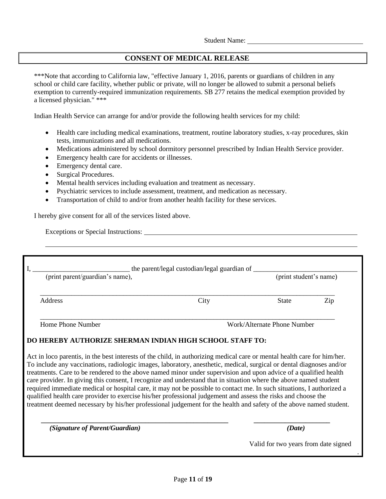#### **CONSENT OF MEDICAL RELEASE**

\*\*\*Note that according to California law, "effective January 1, 2016, parents or guardians of children in any school or child care facility, whether public or private, will no longer be allowed to submit a personal beliefs exemption to currently-required immunization requirements. SB 277 retains the medical exemption provided by a licensed physician." \*\*\*

Indian Health Service can arrange for and/or provide the following health services for my child:

- Health care including medical examinations, treatment, routine laboratory studies, x-ray procedures, skin tests, immunizations and all medications.
- Medications administered by school dormitory personnel prescribed by Indian Health Service provider.
- Emergency health care for accidents or illnesses.
- Emergency dental care.
- Surgical Procedures.
- Mental health services including evaluation and treatment as necessary.
- Psychiatric services to include assessment, treatment, and medication as necessary.
- Transportation of child to and/or from another health facility for these services.

I hereby give consent for all of the services listed above.

Exceptions or Special Instructions:

| (print parent/guardian's name), |      |              | the parent/legal custodian/legal guardian of<br>(print student's name) |  |  |
|---------------------------------|------|--------------|------------------------------------------------------------------------|--|--|
| <b>Address</b>                  | City | <b>State</b> | Zip                                                                    |  |  |

#### **DO HEREBY AUTHORIZE SHERMAN INDIAN HIGH SCHOOL STAFF TO:**

Act in loco parentis, in the best interests of the child, in authorizing medical care or mental health care for him/her. To include any vaccinations, radiologic images, laboratory, anesthetic, medical, surgical or dental diagnoses and/or treatments. Care to be rendered to the above named minor under supervision and upon advice of a qualified health care provider. In giving this consent, I recognize and understand that in situation where the above named student required immediate medical or hospital care, it may not be possible to contact me. In such situations, I authorized a qualified health care provider to exercise his/her professional judgement and assess the risks and choose the treatment deemed necessary by his/her professional judgement for the health and safety of the above named student.

**\_\_\_\_\_\_\_\_\_\_\_\_\_\_\_\_\_\_\_\_\_\_\_\_\_\_\_\_\_\_\_\_\_\_\_\_\_\_\_\_\_\_\_\_\_\_\_\_\_\_\_\_\_\_ \_\_\_\_\_\_\_\_\_\_\_\_\_\_\_\_\_\_\_\_\_\_**

*(Signature of Parent/Guardian) (Date)*

Valid for two years from date signed

.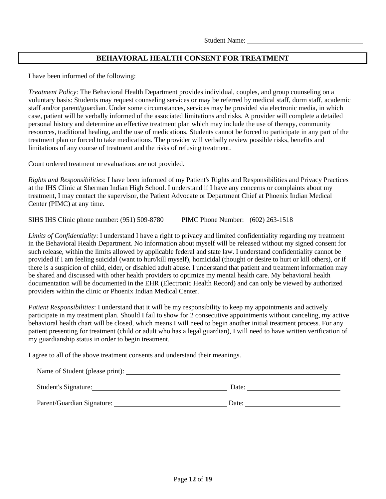## **BEHAVIORAL HEALTH CONSENT FOR TREATMENT**

I have been informed of the following:

*Treatment Policy*: The Behavioral Health Department provides individual, couples, and group counseling on a voluntary basis: Students may request counseling services or may be referred by medical staff, dorm staff, academic staff and/or parent/guardian. Under some circumstances, services may be provided via electronic media, in which case, patient will be verbally informed of the associated limitations and risks. A provider will complete a detailed personal history and determine an effective treatment plan which may include the use of therapy, community resources, traditional healing, and the use of medications. Students cannot be forced to participate in any part of the treatment plan or forced to take medications. The provider will verbally review possible risks, benefits and limitations of any course of treatment and the risks of refusing treatment.

Court ordered treatment or evaluations are not provided.

*Rights and Responsibilities*: I have been informed of my Patient's Rights and Responsibilities and Privacy Practices at the IHS Clinic at Sherman Indian High School. I understand if I have any concerns or complaints about my treatment, I may contact the supervisor, the Patient Advocate or Department Chief at Phoenix Indian Medical Center (PIMC) at any time.

SIHS IHS Clinic phone number: (951) 509-8780 PIMC Phone Number: (602) 263-1518

*Limits of Confidentiality*: I understand I have a right to privacy and limited confidentiality regarding my treatment in the Behavioral Health Department. No information about myself will be released without my signed consent for such release, within the limits allowed by applicable federal and state law. I understand confidentiality cannot be provided if I am feeling suicidal (want to hurt/kill myself), homicidal (thought or desire to hurt or kill others), or if there is a suspicion of child, elder, or disabled adult abuse. I understand that patient and treatment information may be shared and discussed with other health providers to optimize my mental health care. My behavioral health documentation will be documented in the EHR (Electronic Health Record) and can only be viewed by authorized providers within the clinic or Phoenix Indian Medical Center.

*Patient Responsibilities*: I understand that it will be my responsibility to keep my appointments and actively participate in my treatment plan. Should I fail to show for 2 consecutive appointments without canceling, my active behavioral health chart will be closed, which means I will need to begin another initial treatment process. For any patient presenting for treatment (child or adult who has a legal guardian), I will need to have written verification of my guardianship status in order to begin treatment.

I agree to all of the above treatment consents and understand their meanings.

| Name of Student (please print): |       |
|---------------------------------|-------|
| <b>Student's Signature:</b>     | Date: |
| Parent/Guardian Signature:      | Date: |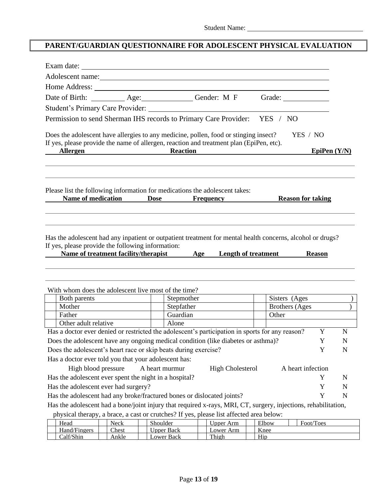# **PARENT/GUARDIAN QUESTIONNAIRE FOR ADOLESCENT PHYSICAL EVALUATION**

| Date of Birth: ____________ Age: _________________ Gender: M F                                                 |             |                 |                                                     |       |       | Grade:            |                |             |
|----------------------------------------------------------------------------------------------------------------|-------------|-----------------|-----------------------------------------------------|-------|-------|-------------------|----------------|-------------|
|                                                                                                                |             |                 |                                                     |       |       |                   |                |             |
| Permission to send Sherman IHS records to Primary Care Provider: YES / NO                                      |             |                 |                                                     |       |       |                   |                |             |
|                                                                                                                |             |                 |                                                     |       |       |                   |                |             |
| Does the adolescent have allergies to any medicine, pollen, food or stinging insect?                           |             |                 |                                                     |       |       | YES / NO          |                |             |
| If yes, please provide the name of allergen, reaction and treatment plan (EpiPen, etc).<br><b>Allergen</b>     |             | <b>Reaction</b> |                                                     |       |       |                   | EpiPen $(Y/N)$ |             |
|                                                                                                                |             |                 |                                                     |       |       |                   |                |             |
| Please list the following information for medications the adolescent takes:                                    |             |                 | Name of medication Dose Frequency Reason for taking |       |       |                   |                |             |
| Has the adolescent had any inpatient or outpatient treatment for mental health concerns, alcohol or drugs?     |             |                 |                                                     |       |       |                   |                |             |
| If yes, please provide the following information:<br>Name of treatment facility/therapist Age                  |             |                 | <b>Length of treatment</b>                          |       |       |                   | <b>Reason</b>  |             |
| With whom does the adolescent live most of the time?                                                           |             |                 |                                                     |       |       |                   |                |             |
| Both parents                                                                                                   |             | Stepmother      |                                                     |       |       | Sisters (Ages     |                |             |
| Mother                                                                                                         |             | Stepfather      |                                                     |       |       | Brothers (Ages    |                |             |
| Father                                                                                                         |             | Guardian        |                                                     |       | Other |                   |                |             |
| Other adult relative                                                                                           |             | Alone           |                                                     |       |       |                   |                |             |
| Has a doctor ever denied or restricted the adolescent's participation in sports for any reason?                |             |                 |                                                     |       |       |                   | Y              | $\mathbf N$ |
| Does the adolescent have any ongoing medical condition (like diabetes or asthma)?                              |             |                 |                                                     |       |       |                   | Y              | N           |
| Does the adolescent's heart race or skip beats during exercise?                                                |             |                 |                                                     |       |       |                   | Y              | N           |
| Has a doctor ever told you that your adolescent has:                                                           |             |                 |                                                     |       |       |                   |                |             |
| High blood pressure                                                                                            |             | A heart murmur  | <b>High Cholesterol</b>                             |       |       | A heart infection |                |             |
| Has the adolescent ever spent the night in a hospital?                                                         |             |                 |                                                     |       |       |                   | Y              | N           |
| Has the adolescent ever had surgery?                                                                           |             |                 |                                                     |       |       |                   | Y              | N           |
| Has the adolescent had any broke/fractured bones or dislocated joints?                                         |             |                 |                                                     |       |       |                   | Y              | $\mathbf N$ |
| Has the adolescent had a bone/joint injury that required x-rays, MRI, CT, surgery, injections, rehabilitation, |             |                 |                                                     |       |       |                   |                |             |
| physical therapy, a brace, a cast or crutches? If yes, please list affected area below:<br>Head                | <b>Neck</b> | Shoulder        | <b>Upper Arm</b>                                    | Elbow |       |                   | Foot/Toes      |             |

Calf/Shin | Ankle | Lower Back | Thigh | Hip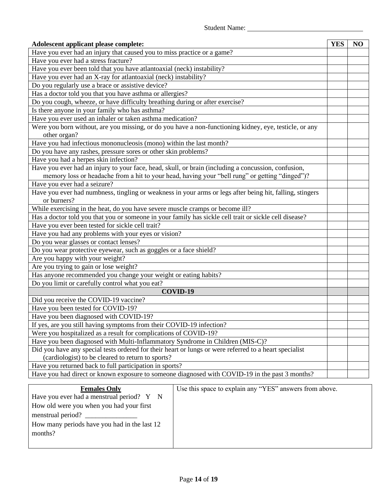| Adolescent applicant please complete:                                                                    | <b>YES</b> | NO |
|----------------------------------------------------------------------------------------------------------|------------|----|
| Have you ever had an injury that caused you to miss practice or a game?                                  |            |    |
| Have you ever had a stress fracture?                                                                     |            |    |
| Have you ever been told that you have atlantoaxial (neck) instability?                                   |            |    |
| Have you ever had an X-ray for atlantoaxial (neck) instability?                                          |            |    |
| Do you regularly use a brace or assistive device?                                                        |            |    |
| Has a doctor told you that you have asthma or allergies?                                                 |            |    |
| Do you cough, wheeze, or have difficulty breathing during or after exercise?                             |            |    |
| Is there anyone in your family who has asthma?                                                           |            |    |
| Have you ever used an inhaler or taken asthma medication?                                                |            |    |
| Were you born without, are you missing, or do you have a non-functioning kidney, eye, testicle, or any   |            |    |
| other organ?                                                                                             |            |    |
| Have you had infectious mononucleosis (mono) within the last month?                                      |            |    |
| Do you have any rashes, pressure sores or other skin problems?                                           |            |    |
| Have you had a herpes skin infection?                                                                    |            |    |
| Have you ever had an injury to your face, head, skull, or brain (including a concussion, confusion,      |            |    |
| memory loss or headache from a hit to your head, having your "bell rung" or getting "dinged")?           |            |    |
| Have you ever had a seizure?                                                                             |            |    |
| Have you ever had numbness, tingling or weakness in your arms or legs after being hit, falling, stingers |            |    |
| or burners?                                                                                              |            |    |
| While exercising in the heat, do you have severe muscle cramps or become ill?                            |            |    |
| Has a doctor told you that you or someone in your family has sickle cell trait or sickle cell disease?   |            |    |
| Have you ever been tested for sickle cell trait?                                                         |            |    |
| Have you had any problems with your eyes or vision?                                                      |            |    |
| Do you wear glasses or contact lenses?                                                                   |            |    |
| Do you wear protective eyewear, such as goggles or a face shield?                                        |            |    |
| Are you happy with your weight?                                                                          |            |    |
| Are you trying to gain or lose weight?                                                                   |            |    |
| Has anyone recommended you change your weight or eating habits?                                          |            |    |
| Do you limit or carefully control what you eat?                                                          |            |    |
| COVID-19                                                                                                 |            |    |
| Did you receive the COVID-19 vaccine?                                                                    |            |    |
| Have you been tested for COVID-19?                                                                       |            |    |
| Have you been diagnosed with COVID-19?                                                                   |            |    |
| If yes, are you still having symptoms from their COVID-19 infection?                                     |            |    |
| Were you hospitalized as a result for complications of COVID-19?                                         |            |    |
| Have you been diagnosed with Multi-Inflammatory Syndrome in Children (MIS-C)?                            |            |    |
| Did you have any special tests ordered for their heart or lungs or were referred to a heart specialist   |            |    |
| (cardiologist) to be cleared to return to sports?                                                        |            |    |
| Have you returned back to full participation in sports?                                                  |            |    |
| Have you had direct or known exposure to someone diagnosed with COVID-19 in the past 3 months?           |            |    |
| Use this space to explain any "YES" answers from above.<br><b>Females Only</b>                           |            |    |

| <b>Females Only</b>                                | Use this space to explain any "YES" answers from above. |
|----------------------------------------------------|---------------------------------------------------------|
| Have you ever had a menstrual period? $Y \times N$ |                                                         |
| How old were you when you had your first           |                                                         |
| menstrual period?                                  |                                                         |
| How many periods have you had in the last 12       |                                                         |
| months?                                            |                                                         |
|                                                    |                                                         |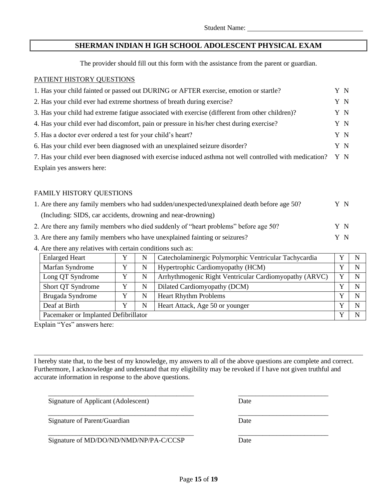### **SHERMAN INDIAN H IGH SCHOOL ADOLESCENT PHYSICAL EXAM**

The provider should fill out this form with the assistance from the parent or guardian.

#### PATIENT HISTORY QUESTIONS

| 1. Has your child fainted or passed out DURING or AFTER exercise, emotion or startle?                       | Y N |
|-------------------------------------------------------------------------------------------------------------|-----|
| 2. Has your child ever had extreme shortness of breath during exercise?                                     | Y N |
| 3. Has your child had extreme fatigue associated with exercise (different from other children)?             | Y N |
| 4. Has your child ever had discomfort, pain or pressure in his/her chest during exercise?                   | Y N |
| 5. Has a doctor ever ordered a test for your child's heart?                                                 | Y N |
| 6. Has your child ever been diagnosed with an unexplained seizure disorder?                                 | Y N |
| 7. Has your child ever been diagnosed with exercise induced asthma not well controlled with medication? Y N |     |
| Explain yes answers here:                                                                                   |     |

#### FAMILY HISTORY QUESTIONS

| 1. Are there any family members who had sudden/unexpected/unexplained death before age 50? |    |
|--------------------------------------------------------------------------------------------|----|
| (Including: SIDS, car accidents, drowning and near-drowning)                               |    |
| 2. Are there any family members who died suddenly of "heart problems" before age 50?       | YN |
| 3. Are there any family members who have unexplained fainting or seizures?                 | YN |

4. Are there any relatives with certain conditions such as:

| <b>Enlarged Heart</b>                | N | Catecholaminergic Polymorphic Ventricular Tachycardia  |   | N |
|--------------------------------------|---|--------------------------------------------------------|---|---|
| Marfan Syndrome                      | N | Hypertrophic Cardiomyopathy (HCM)                      |   | N |
| Long QT Syndrome                     | N | Arrhythmogenic Right Ventricular Cardiomyopathy (ARVC) |   | N |
| Short QT Syndrome                    | N | Dilated Cardiomyopathy (DCM)                           | v | N |
| Brugada Syndrome                     | N | <b>Heart Rhythm Problems</b>                           | v | N |
| Deaf at Birth                        | N | Heart Attack, Age 50 or younger                        | v | N |
| Pacemaker or Implanted Defibrillator |   |                                                        | v | N |

Explain "Yes" answers here:

I hereby state that, to the best of my knowledge, my answers to all of the above questions are complete and correct. Furthermore, I acknowledge and understand that my eligibility may be revoked if I have not given truthful and accurate information in response to the above questions.

\_\_\_\_\_\_\_\_\_\_\_\_\_\_\_\_\_\_\_\_\_\_\_\_\_\_\_\_\_\_\_\_\_\_\_\_\_\_\_\_\_\_ \_\_\_\_\_\_\_\_\_\_\_\_\_\_\_\_\_\_\_\_\_\_\_\_\_\_

Signature of Applicant (Adolescent) Date

Signature of Parent/Guardian Date

Signature of MD/DO/ND/NMD/NP/PA-C/CCSP Date

\_\_\_\_\_\_\_\_\_\_\_\_\_\_\_\_\_\_\_\_\_\_\_\_\_\_\_\_\_\_\_\_\_\_\_\_\_\_\_\_\_\_ \_\_\_\_\_\_\_\_\_\_\_\_\_\_\_\_\_\_\_\_\_\_\_\_\_\_

\_\_\_\_\_\_\_\_\_\_\_\_\_\_\_\_\_\_\_\_\_\_\_\_\_\_\_\_\_\_\_\_\_\_\_\_\_\_\_\_\_\_ \_\_\_\_\_\_\_\_\_\_\_\_\_\_\_\_\_\_\_\_\_\_\_\_\_\_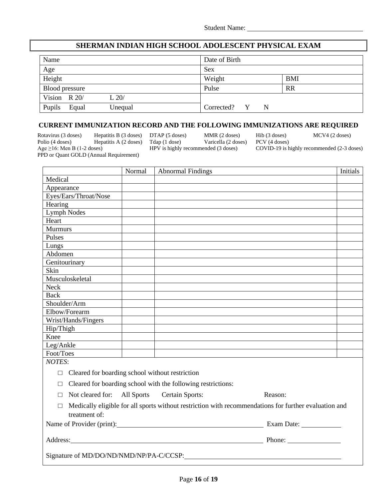#### **SHERMAN INDIAN HIGH SCHOOL ADOLESCENT PHYSICAL EXAM**

| Name            |         |                   |            |
|-----------------|---------|-------------------|------------|
| Age             |         | Sex               |            |
| Height          |         | Weight            | <b>BMI</b> |
| Blood pressure  |         | Pulse             | <b>RR</b>  |
| Vision $R$ 20/  | L 20/   |                   |            |
| Pupils<br>Equal | Unequal | Corrected? Y<br>N |            |

#### **CURRENT IMMUNIZATION RECORD AND THE FOLLOWING IMMUNIZATIONS ARE REQUIRED**

Rotavirus (3 doses) Hepatitis B (3 doses) DTAP (5 doses) MMR (2 doses) Hib (3 doses) MCV4 (2 doses)<br>
Polio (4 doses) Hepatitis A (2 doses) Tdap (1 dose) Varicella (2 doses) PCV (4 doses) Hepatitis A (2 doses) PPD or Quant GOLD (Annual Requirement)

Age ≥16: Men B (1-2 doses) HPV is highly recommended (3 doses) COVID-19 is highly recommended (2-3 doses)

|                                                           | Normal | <b>Abnormal Findings</b>                                                                                                                                                                                                            |         | Initials |
|-----------------------------------------------------------|--------|-------------------------------------------------------------------------------------------------------------------------------------------------------------------------------------------------------------------------------------|---------|----------|
| Medical                                                   |        |                                                                                                                                                                                                                                     |         |          |
| Appearance                                                |        |                                                                                                                                                                                                                                     |         |          |
| Eyes/Ears/Throat/Nose                                     |        |                                                                                                                                                                                                                                     |         |          |
| Hearing                                                   |        |                                                                                                                                                                                                                                     |         |          |
| <b>Lymph Nodes</b>                                        |        |                                                                                                                                                                                                                                     |         |          |
| Heart                                                     |        |                                                                                                                                                                                                                                     |         |          |
| <b>Murmurs</b>                                            |        |                                                                                                                                                                                                                                     |         |          |
| Pulses                                                    |        |                                                                                                                                                                                                                                     |         |          |
| Lungs                                                     |        |                                                                                                                                                                                                                                     |         |          |
| Abdomen                                                   |        |                                                                                                                                                                                                                                     |         |          |
| Genitourinary                                             |        |                                                                                                                                                                                                                                     |         |          |
| Skin                                                      |        |                                                                                                                                                                                                                                     |         |          |
| Musculoskeletal                                           |        |                                                                                                                                                                                                                                     |         |          |
| Neck                                                      |        |                                                                                                                                                                                                                                     |         |          |
| <b>Back</b>                                               |        |                                                                                                                                                                                                                                     |         |          |
| Shoulder/Arm                                              |        |                                                                                                                                                                                                                                     |         |          |
| Elbow/Forearm                                             |        |                                                                                                                                                                                                                                     |         |          |
| Wrist/Hands/Fingers                                       |        |                                                                                                                                                                                                                                     |         |          |
| Hip/Thigh                                                 |        |                                                                                                                                                                                                                                     |         |          |
| Knee                                                      |        |                                                                                                                                                                                                                                     |         |          |
| Leg/Ankle                                                 |        |                                                                                                                                                                                                                                     |         |          |
| Foot/Toes                                                 |        |                                                                                                                                                                                                                                     |         |          |
| <b>NOTES:</b>                                             |        |                                                                                                                                                                                                                                     |         |          |
| Cleared for boarding school without restriction<br>$\Box$ |        |                                                                                                                                                                                                                                     |         |          |
| $\Box$                                                    |        | Cleared for boarding school with the following restrictions:                                                                                                                                                                        |         |          |
| Not cleared for: All Sports<br>П                          |        | Certain Sports:                                                                                                                                                                                                                     | Reason: |          |
| $\Box$<br>treatment of:                                   |        | Medically eligible for all sports without restriction with recommendations for further evaluation and                                                                                                                               |         |          |
|                                                           |        |                                                                                                                                                                                                                                     |         |          |
|                                                           |        | Address: <u>Address:</u> Address: Address: Address: Address: Address: Address: Address: Address: Address: Address: Address: Address: Address: Address: Address: Address: Address: Address: Address: Address: Address: Address: Addr | Phone:  |          |
| Signature of MD/DO/ND/NMD/NP/PA-C/CCSP:                   |        |                                                                                                                                                                                                                                     |         |          |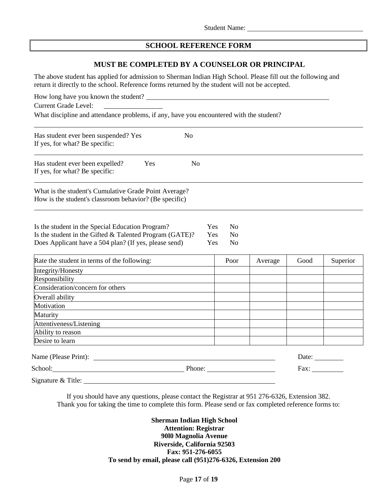#### **SCHOOL REFERENCE FORM**

#### **MUST BE COMPLETED BY A COUNSELOR OR PRINCIPAL**

The above student has applied for admission to Sherman Indian High School. Please fill out the following and return it directly to the school. Reference forms returned by the student will not be accepted.

| <b>Current Grade Level:</b>                                                                                                                                          |                |                                                                         |         |                      |          |  |  |  |
|----------------------------------------------------------------------------------------------------------------------------------------------------------------------|----------------|-------------------------------------------------------------------------|---------|----------------------|----------|--|--|--|
| What discipline and attendance problems, if any, have you encountered with the student?                                                                              |                |                                                                         |         |                      |          |  |  |  |
| Has student ever been suspended? Yes<br>If yes, for what? Be specific:                                                                                               | N <sub>0</sub> |                                                                         |         |                      |          |  |  |  |
| Has student ever been expelled?<br>Yes<br>If yes, for what? Be specific:                                                                                             | N <sub>o</sub> |                                                                         |         |                      |          |  |  |  |
| What is the student's Cumulative Grade Point Average?<br>How is the student's classroom behavior? (Be specific)                                                      |                |                                                                         |         |                      |          |  |  |  |
| Is the student in the Special Education Program?<br>Is the student in the Gifted & Talented Program (GATE)?<br>Does Applicant have a 504 plan? (If yes, please send) |                | Yes<br>N <sub>0</sub><br>Yes<br>N <sub>0</sub><br>Yes<br>N <sub>o</sub> |         |                      |          |  |  |  |
| Rate the student in terms of the following:                                                                                                                          |                | Poor                                                                    | Average | Good                 | Superior |  |  |  |
| Integrity/Honesty<br><u> 1989 - Andrea Barbara, poeta esperanto-</u>                                                                                                 |                |                                                                         |         |                      |          |  |  |  |
| Responsibility                                                                                                                                                       |                |                                                                         |         |                      |          |  |  |  |
| Consideration/concern for others                                                                                                                                     |                |                                                                         |         |                      |          |  |  |  |
| Overall ability                                                                                                                                                      |                |                                                                         |         |                      |          |  |  |  |
| Motivation                                                                                                                                                           |                |                                                                         |         |                      |          |  |  |  |
| Maturity                                                                                                                                                             |                |                                                                         |         |                      |          |  |  |  |
| Attentiveness/Listening 2012 2022 2023                                                                                                                               |                |                                                                         |         |                      |          |  |  |  |
| Ability to reason<br>the contract of the contract of the contract of the contract of the contract of the contract of the contract of                                 |                |                                                                         |         |                      |          |  |  |  |
| Desire to learn<br><u> 1989 - Johann Stein, marwolaethau a bhann an t-Amhain an t-Amhain an t-Amhain an t-Amhain an t-Amhain an t-A</u>                              |                |                                                                         |         |                      |          |  |  |  |
|                                                                                                                                                                      |                |                                                                         |         | Date: $\_\_$         |          |  |  |  |
| School:                                                                                                                                                              |                |                                                                         |         | Fax: $\qquad \qquad$ |          |  |  |  |

Signature & Title:

If you should have any questions, please contact the Registrar at 951 276-6326, Extension 382. Thank you for taking the time to complete this form. Please send or fax completed reference forms to:

> **Sherman Indian High School Attention: Registrar 90l0 Magnolia Avenue Riverside, California 92503 Fax: 951-276-6055 To send by email, please call (951)276-6326, Extension 200**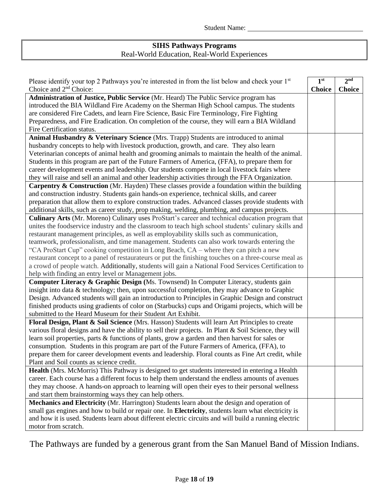## **SIHS Pathways Programs** Real-World Education, Real-World Experiences

| Please identify your top 2 Pathways you're interested in from the list below and check your 1st        | 1 <sup>st</sup> | 2 <sup>nd</sup> |
|--------------------------------------------------------------------------------------------------------|-----------------|-----------------|
| Choice and 2 <sup>nd</sup> Choice:                                                                     | <b>Choice</b>   | <b>Choice</b>   |
| Administration of Justice, Public Service (Mr. Heard) The Public Service program has                   |                 |                 |
| introduced the BIA Wildland Fire Academy on the Sherman High School campus. The students               |                 |                 |
| are considered Fire Cadets, and learn Fire Science, Basic Fire Terminology, Fire Fighting              |                 |                 |
| Preparedness, and Fire Eradication. On completion of the course, they will earn a BIA Wildland         |                 |                 |
| Fire Certification status.                                                                             |                 |                 |
| Animal Husbandry & Veterinary Science (Mrs. Trapp) Students are introduced to animal                   |                 |                 |
| husbandry concepts to help with livestock production, growth, and care. They also learn                |                 |                 |
| Veterinarian concepts of animal health and grooming animals to maintain the health of the animal.      |                 |                 |
| Students in this program are part of the Future Farmers of America, (FFA), to prepare them for         |                 |                 |
| career development events and leadership. Our students compete in local livestock fairs where          |                 |                 |
| they will raise and sell an animal and other leadership activities through the FFA Organization.       |                 |                 |
| Carpentry & Construction (Mr. Hayden) These classes provide a foundation within the building           |                 |                 |
| and construction industry. Students gain hands-on experience, technical skills, and career             |                 |                 |
| preparation that allow them to explore construction trades. Advanced classes provide students with     |                 |                 |
| additional skills, such as career study, prop making, welding, plumbing, and campus projects.          |                 |                 |
| Culinary Arts (Mr. Moreno) Culinary uses ProStart's career and technical education program that        |                 |                 |
| unites the foodservice industry and the classroom to teach high school students' culinary skills and   |                 |                 |
| restaurant management principles, as well as employability skills such as communication,               |                 |                 |
| teamwork, professionalism, and time management. Students can also work towards entering the            |                 |                 |
| "CA ProStart Cup" cooking competition in Long Beach, CA – where they can pitch a new                   |                 |                 |
| restaurant concept to a panel of restaurateurs or put the finishing touches on a three-course meal as  |                 |                 |
| a crowd of people watch. Additionally, students will gain a National Food Services Certification to    |                 |                 |
| help with finding an entry level or Management jobs.                                                   |                 |                 |
| Computer Literacy & Graphic Design (Ms. Townsend) In Computer Literacy, students gain                  |                 |                 |
| insight into data $\&$ technology; then, upon successful completion, they may advance to Graphic       |                 |                 |
| Design. Advanced students will gain an introduction to Principles in Graphic Design and construct      |                 |                 |
| finished products using gradients of color on (Starbucks) cups and Origami projects, which will be     |                 |                 |
| submitted to the Heard Museum for their Student Art Exhibit.                                           |                 |                 |
| Floral Design, Plant & Soil Science (Mrs. Hasson) Students will learn Art Principles to create         |                 |                 |
| various floral designs and have the ability to sell their projects. In Plant & Soil Science, they will |                 |                 |
| learn soil properties, parts $\&$ functions of plants, grow a garden and then harvest for sales or     |                 |                 |
| consumption. Students in this program are part of the Future Farmers of America, (FFA), to             |                 |                 |
| prepare them for career development events and leadership. Floral counts as Fine Art credit, while     |                 |                 |
| Plant and Soil counts as science credit.                                                               |                 |                 |
| <b>Health</b> (Mrs. McMorris) This Pathway is designed to get students interested in entering a Health |                 |                 |
| career. Each course has a different focus to help them understand the endless amounts of avenues       |                 |                 |
| they may choose. A hands-on approach to learning will open their eyes to their personal wellness       |                 |                 |
| and start them brainstorming ways they can help others.                                                |                 |                 |
| Mechanics and Electricity (Mr. Harrington) Students learn about the design and operation of            |                 |                 |
| small gas engines and how to build or repair one. In Electricity, students learn what electricity is   |                 |                 |
| and how it is used. Students learn about different electric circuits and will build a running electric |                 |                 |
| motor from scratch.                                                                                    |                 |                 |

The Pathways are funded by a generous grant from the San Manuel Band of Mission Indians.